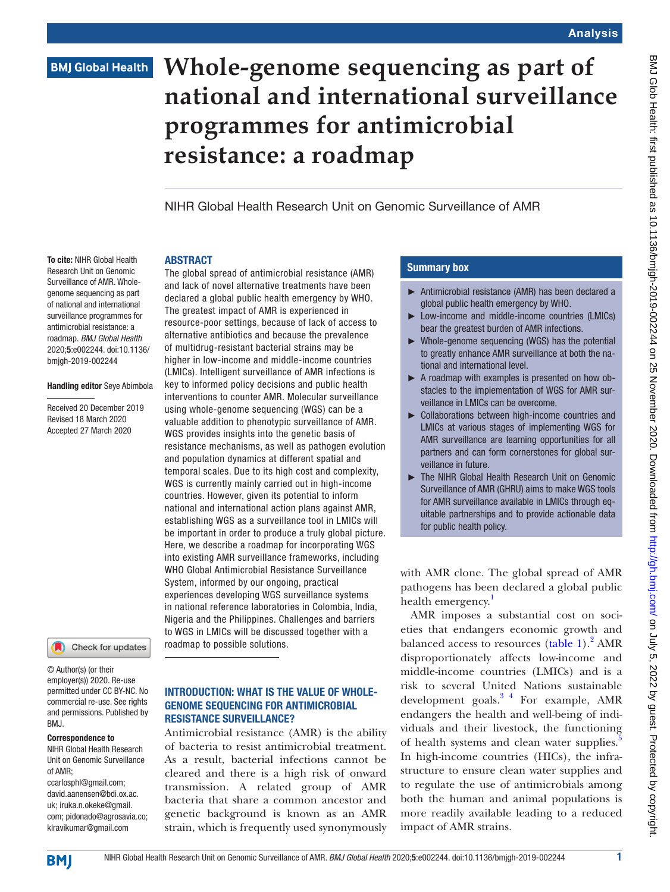## **BMJ Global Health**

# **Whole-genome sequencing as part of national and international surveillance programmes for antimicrobial resistance: a roadmap**

NIHR Global Health Research Unit on Genomic Surveillance of AMR

#### **ABSTRACT**

The global spread of antimicrobial resistance (AMR) and lack of novel alternative treatments have been declared a global public health emergency by WHO. The greatest impact of AMR is experienced in resource-poor settings, because of lack of access to alternative antibiotics and because the prevalence of multidrug-resistant bacterial strains may be higher in low-income and middle-income countries (LMICs). Intelligent surveillance of AMR infections is key to informed policy decisions and public health interventions to counter AMR. Molecular surveillance using whole-genome sequencing (WGS) can be a valuable addition to phenotypic surveillance of AMR. WGS provides insights into the genetic basis of resistance mechanisms, as well as pathogen evolution and population dynamics at different spatial and temporal scales. Due to its high cost and complexity, WGS is currently mainly carried out in high-income countries. However, given its potential to inform national and international action plans against AMR, establishing WGS as a surveillance tool in LMICs will be important in order to produce a truly global picture. Here, we describe a roadmap for incorporating WGS into existing AMR surveillance frameworks, including WHO Global Antimicrobial Resistance Surveillance System, informed by our ongoing, practical experiences developing WGS surveillance systems in national reference laboratories in Colombia, India, Nigeria and the Philippines. Challenges and barriers to WGS in LMICs will be discussed together with a

To cite: NIHR Global Health Research Unit on Genomic Surveillance of AMR. Wholegenome sequencing as part of national and international surveillance programmes for antimicrobial resistance: a roadmap. *BMJ Global Health* 2020;5:e002244. doi:10.1136/ bmjgh-2019-002244

#### Handling editor Seye Abimbola

Received 20 December 2019 Revised 18 March 2020 Accepted 27 March 2020

Check for updates

© Author(s) (or their employer(s)) 2020. Re-use permitted under CC BY-NC. No commercial re-use. See rights and permissions. Published by BMJ.

#### Correspondence to

NIHR Global Health Research Unit on Genomic Surveillance of AMR;

ccarlosphl@gmail.com; david.aanensen@bdi.ox.ac. uk; iruka.n.okeke@gmail. com; pidonado@agrosavia.co; klravikumar@gmail.com

#### Introduction: what is the value of wholegenome sequencing for antimicrobial resistance surveillance?

roadmap to possible solutions.

Antimicrobial resistance (AMR) is the ability of bacteria to resist antimicrobial treatment. As a result, bacterial infections cannot be cleared and there is a high risk of onward transmission. A related group of AMR bacteria that share a common ancestor and genetic background is known as an AMR strain, which is frequently used synonymously

#### Summary box

- ► Antimicrobial resistance (AMR) has been declared a global public health emergency by WHO.
- ► Low-income and middle-income countries (LMICs) bear the greatest burden of AMR infections.
- ► Whole-genome sequencing (WGS) has the potential to greatly enhance AMR surveillance at both the national and international level.
- ► A roadmap with examples is presented on how obstacles to the implementation of WGS for AMR surveillance in LMICs can be overcome.
- ► Collaborations between high-income countries and LMICs at various stages of implementing WGS for AMR surveillance are learning opportunities for all partners and can form cornerstones for global surveillance in future.
- The NIHR Global Health Research Unit on Genomic Surveillance of AMR (GHRU) aims to make WGS tools for AMR surveillance available in LMICs through equitable partnerships and to provide actionable data for public health policy.

with AMR clone. The global spread of AMR pathogens has been declared a global public health emergency.<sup>1</sup>

AMR imposes a substantial cost on societies that endangers economic growth and balanced access to resources [\(table](#page-1-0) 1). $^{2}$  $^{2}$  $^{2}$  AMR disproportionately affects low-income and middle-income countries (LMICs) and is a risk to several United Nations sustainable development goals. $3 \frac{4}{7}$  For example, AMR endangers the health and well-being of individuals and their livestock, the functioning of health systems and clean water supplies.<sup>[5](#page-10-3)</sup> In high-income countries (HICs), the infrastructure to ensure clean water supplies and to regulate the use of antimicrobials among both the human and animal populations is more readily available leading to a reduced impact of AMR strains.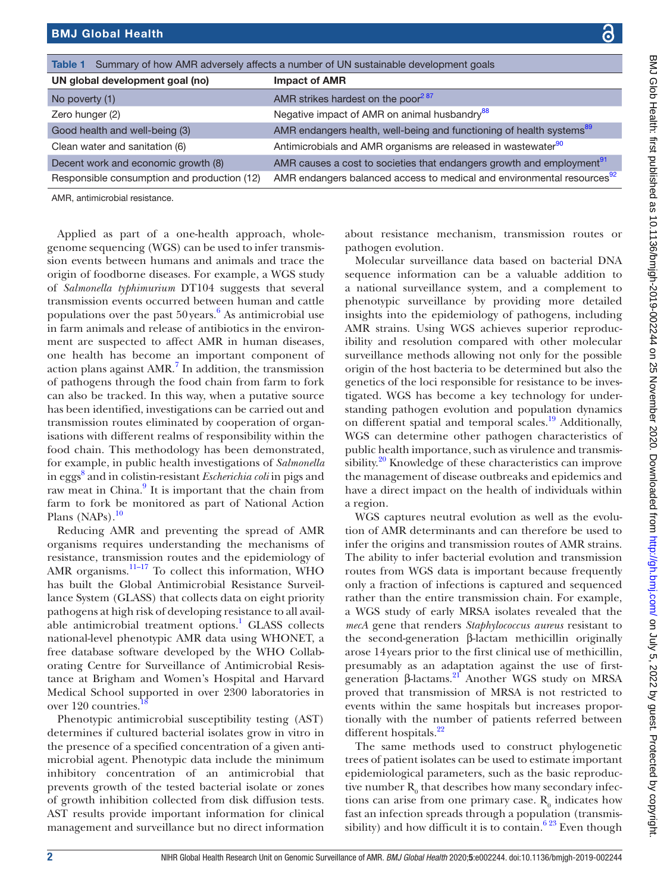<span id="page-1-0"></span>

| Table 1 Summary of how AMR adversely affects a number of UN sustainable development goals |                                                                                    |
|-------------------------------------------------------------------------------------------|------------------------------------------------------------------------------------|
| UN global development goal (no)                                                           | <b>Impact of AMR</b>                                                               |
| No poverty (1)                                                                            | AMR strikes hardest on the poor <sup>287</sup>                                     |
| Zero hunger (2)                                                                           | Negative impact of AMR on animal husbandry <sup>88</sup>                           |
| Good health and well-being (3)                                                            | AMR endangers health, well-being and functioning of health systems <sup>89</sup>   |
| Clean water and sanitation (6)                                                            | Antimicrobials and AMR organisms are released in wastewater <sup>90</sup>          |
| Decent work and economic growth (8)                                                       | AMR causes a cost to societies that endangers growth and employment <sup>91</sup>  |
| Responsible consumption and production (12)                                               | AMR endangers balanced access to medical and environmental resources <sup>92</sup> |

AMR, antimicrobial resistance.

Applied as part of a one-health approach, wholegenome sequencing (WGS) can be used to infer transmission events between humans and animals and trace the origin of foodborne diseases. For example, a WGS study of *Salmonella typhimurium* DT104 suggests that several transmission events occurred between human and cattle populations over the past  $50$  years.<sup>[6](#page-10-4)</sup> As antimicrobial use in farm animals and release of antibiotics in the environment are suspected to affect AMR in human diseases, one health has become an important component of action plans against AMR.<sup>[7](#page-10-5)</sup> In addition, the transmission of pathogens through the food chain from farm to fork can also be tracked. In this way, when a putative source has been identified, investigations can be carried out and transmission routes eliminated by cooperation of organisations with different realms of responsibility within the food chain. This methodology has been demonstrated, for example, in public health investigations of *Salmonella* in egg[s8](#page-10-6) and in colistin-resistant *Escherichia coli* in pigs and raw meat in China.<sup>[9](#page-10-7)</sup> It is important that the chain from farm to fork be monitored as part of National Action Plans (NAPs).<sup>[10](#page-10-8)</sup>

Reducing AMR and preventing the spread of AMR organisms requires understanding the mechanisms of resistance, transmission routes and the epidemiology of AMR organisms. $11-17$  To collect this information, WHO has built the Global Antimicrobial Resistance Surveillance System (GLASS) that collects data on eight priority pathogens at high risk of developing resistance to all available antimicrobial treatment options.<sup>1</sup> GLASS collects national-level phenotypic AMR data using WHONET, a free database software developed by the WHO Collaborating Centre for Surveillance of Antimicrobial Resistance at Brigham and Women's Hospital and Harvard Medical School supported in over 2300 laboratories in over 120 countries.

Phenotypic antimicrobial susceptibility testing (AST) determines if cultured bacterial isolates grow in vitro in the presence of a specified concentration of a given antimicrobial agent. Phenotypic data include the minimum inhibitory concentration of an antimicrobial that prevents growth of the tested bacterial isolate or zones of growth inhibition collected from disk diffusion tests. AST results provide important information for clinical management and surveillance but no direct information

about resistance mechanism, transmission routes or pathogen evolution.

Molecular surveillance data based on bacterial DNA sequence information can be a valuable addition to a national surveillance system, and a complement to phenotypic surveillance by providing more detailed insights into the epidemiology of pathogens, including AMR strains. Using WGS achieves superior reproducibility and resolution compared with other molecular surveillance methods allowing not only for the possible origin of the host bacteria to be determined but also the genetics of the loci responsible for resistance to be investigated. WGS has become a key technology for understanding pathogen evolution and population dynamics on different spatial and temporal scales.<sup>19</sup> Additionally, WGS can determine other pathogen characteristics of public health importance, such as virulence and transmis-sibility.<sup>[20](#page-10-12)</sup> Knowledge of these characteristics can improve the management of disease outbreaks and epidemics and have a direct impact on the health of individuals within a region.

WGS captures neutral evolution as well as the evolution of AMR determinants and can therefore be used to infer the origins and transmission routes of AMR strains. The ability to infer bacterial evolution and transmission routes from WGS data is important because frequently only a fraction of infections is captured and sequenced rather than the entire transmission chain. For example, a WGS study of early MRSA isolates revealed that the *mecA* gene that renders *Staphylococcus aureus* resistant to the second-generation β-lactam methicillin originally arose 14years prior to the first clinical use of methicillin, presumably as an adaptation against the use of firstgeneration β-lactams[.21](#page-10-13) Another WGS study on MRSA proved that transmission of MRSA is not restricted to events within the same hospitals but increases proportionally with the number of patients referred between different hospitals.<sup>[22](#page-10-14)</sup>

The same methods used to construct phylogenetic trees of patient isolates can be used to estimate important epidemiological parameters, such as the basic reproductive number  $\mathbf{R}_0$  that describes how many secondary infections can arise from one primary case.  $R_0$  indicates how fast an infection spreads through a population (transmissibility) and how difficult it is to contain.<sup>6 23</sup> Even though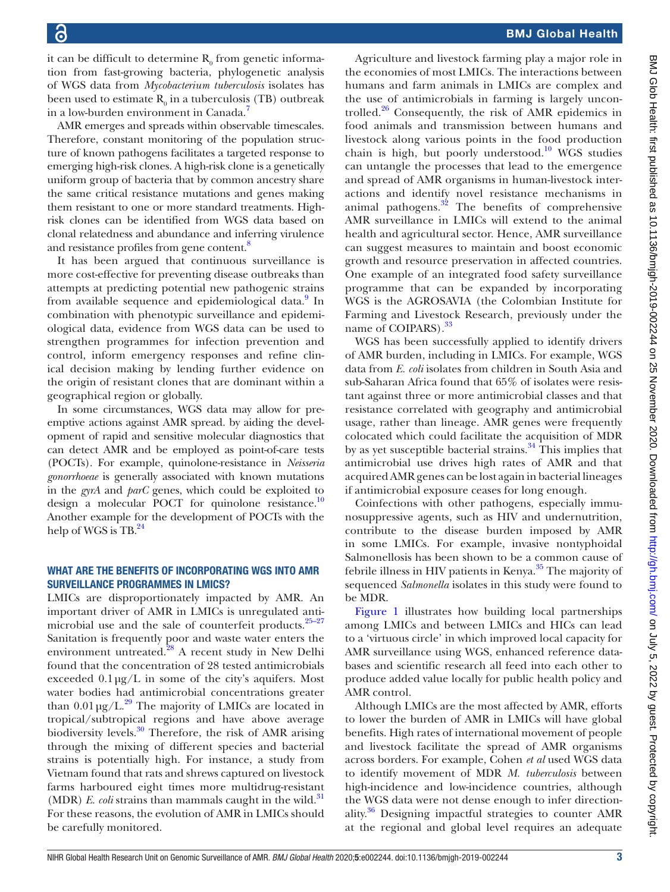it can be difficult to determine  $\mathsf{R}_{\scriptscriptstyle{0}}$  from genetic information from fast-growing bacteria, phylogenetic analysis of WGS data from *Mycobacterium tuberculosis* isolates has been used to estimate  $R_0$  in a tuberculosis (TB) outbreak in a low-burden environment in Canada.<sup>[7](#page-10-5)</sup>

AMR emerges and spreads within observable timescales. Therefore, constant monitoring of the population structure of known pathogens facilitates a targeted response to emerging high-risk clones. A high-risk clone is a genetically uniform group of bacteria that by common ancestry share the same critical resistance mutations and genes making them resistant to one or more standard treatments. Highrisk clones can be identified from WGS data based on clonal relatedness and abundance and inferring virulence and resistance profiles from gene content.<sup>8</sup>

It has been argued that continuous surveillance is more cost-effective for preventing disease outbreaks than attempts at predicting potential new pathogenic strains from available sequence and epidemiological data.<sup>[9](#page-10-7)</sup> In combination with phenotypic surveillance and epidemiological data, evidence from WGS data can be used to strengthen programmes for infection prevention and control, inform emergency responses and refine clinical decision making by lending further evidence on the origin of resistant clones that are dominant within a geographical region or globally.

In some circumstances, WGS data may allow for preemptive actions against AMR spread. by aiding the development of rapid and sensitive molecular diagnostics that can detect AMR and be employed as point-of-care tests (POCTs). For example, quinolone-resistance in *Neisseria gonorrhoeae* is generally associated with known mutations in the *gyrA* and *parC* genes, which could be exploited to design a molecular POCT for quinolone resistance.<sup>[10](#page-10-8)</sup> Another example for the development of POCTs with the help of WGS is TB.<sup>[24](#page-10-15)</sup>

#### What are the benefits of incorporating WGS into AMR surveillance programmes in LMICs?

LMICs are disproportionately impacted by AMR. An important driver of AMR in LMICs is unregulated antimicrobial use and the sale of counterfeit products. $25-27$ Sanitation is frequently poor and waste water enters the environment untreated.<sup>28</sup> A recent study in New Delhi found that the concentration of 28 tested antimicrobials exceeded  $0.1\,\mathrm{µg}/\mathrm{L}$  in some of the city's aquifers. Most water bodies had antimicrobial concentrations greater than  $0.01 \mu g/L$ .<sup>29</sup> The majority of LMICs are located in tropical/subtropical regions and have above average biodiversity levels. $30$  Therefore, the risk of AMR arising through the mixing of different species and bacterial strains is potentially high. For instance, a study from Vietnam found that rats and shrews captured on livestock farms harboured eight times more multidrug-resistant (MDR)  $E.$  *coli* strains than mammals caught in the wild.<sup>[31](#page-11-3)</sup> For these reasons, the evolution of AMR in LMICs should be carefully monitored.

Agriculture and livestock farming play a major role in the economies of most LMICs. The interactions between humans and farm animals in LMICs are complex and the use of antimicrobials in farming is largely uncontrolled. $26$  Consequently, the risk of AMR epidemics in food animals and transmission between humans and livestock along various points in the food production chain is high, but poorly understood.<sup>10</sup> WGS studies can untangle the processes that lead to the emergence and spread of AMR organisms in human-livestock interactions and identify novel resistance mechanisms in animal pathogens. $3^{2}$  The benefits of comprehensive AMR surveillance in LMICs will extend to the animal health and agricultural sector. Hence, AMR surveillance can suggest measures to maintain and boost economic growth and resource preservation in affected countries. One example of an integrated food safety surveillance programme that can be expanded by incorporating WGS is the AGROSAVIA (the Colombian Institute for Farming and Livestock Research, previously under the name of COIPARS).<sup>[33](#page-11-5)</sup>

WGS has been successfully applied to identify drivers of AMR burden, including in LMICs. For example, WGS data from *E. coli* isolates from children in South Asia and sub-Saharan Africa found that 65% of isolates were resistant against three or more antimicrobial classes and that resistance correlated with geography and antimicrobial usage, rather than lineage. AMR genes were frequently colocated which could facilitate the acquisition of MDR by as yet susceptible bacterial strains.<sup>[34](#page-11-6)</sup> This implies that antimicrobial use drives high rates of AMR and that acquired AMR genes can be lost again in bacterial lineages if antimicrobial exposure ceases for long enough.

Coinfections with other pathogens, especially immunosuppressive agents, such as HIV and undernutrition, contribute to the disease burden imposed by AMR in some LMICs. For example, invasive nontyphoidal Salmonellosis has been shown to be a common cause of febrile illness in HIV patients in Kenya.<sup>[35](#page-11-7)</sup> The majority of sequenced *Salmonella* isolates in this study were found to be MDR.

[Figure](#page-3-0) 1 illustrates how building local partnerships among LMICs and between LMICs and HICs can lead to a 'virtuous circle' in which improved local capacity for AMR surveillance using WGS, enhanced reference databases and scientific research all feed into each other to produce added value locally for public health policy and AMR control.

Although LMICs are the most affected by AMR, efforts to lower the burden of AMR in LMICs will have global benefits. High rates of international movement of people and livestock facilitate the spread of AMR organisms across borders. For example, Cohen *et al* used WGS data to identify movement of MDR *M. tuberculosis* between high-incidence and low-incidence countries, although the WGS data were not dense enough to infer directionality.[36](#page-11-8) Designing impactful strategies to counter AMR at the regional and global level requires an adequate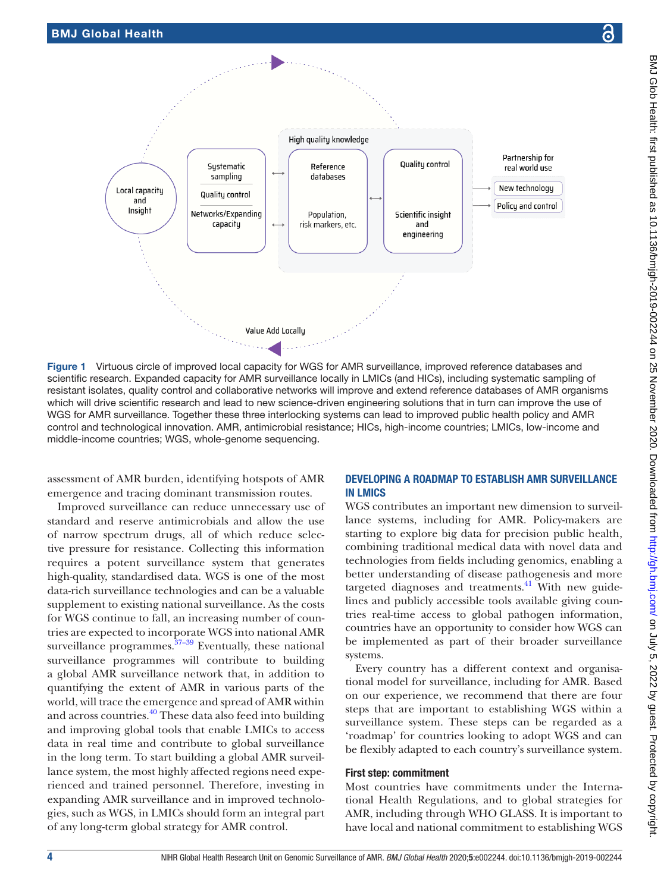

<span id="page-3-0"></span>Figure 1 Virtuous circle of improved local capacity for WGS for AMR surveillance, improved reference databases and scientific research. Expanded capacity for AMR surveillance locally in LMICs (and HICs), including systematic sampling of resistant isolates, quality control and collaborative networks will improve and extend reference databases of AMR organisms which will drive scientific research and lead to new science-driven engineering solutions that in turn can improve the use of WGS for AMR surveillance. Together these three interlocking systems can lead to improved public health policy and AMR control and technological innovation. AMR, antimicrobial resistance; HICs, high-income countries; LMICs, low-income and middle-income countries; WGS, whole-genome sequencing.

assessment of AMR burden, identifying hotspots of AMR emergence and tracing dominant transmission routes.

Improved surveillance can reduce unnecessary use of standard and reserve antimicrobials and allow the use of narrow spectrum drugs, all of which reduce selective pressure for resistance. Collecting this information requires a potent surveillance system that generates high-quality, standardised data. WGS is one of the most data-rich surveillance technologies and can be a valuable supplement to existing national surveillance. As the costs for WGS continue to fall, an increasing number of countries are expected to incorporate WGS into national AMR surveillance programmes. $37-39$  Eventually, these national surveillance programmes will contribute to building a global AMR surveillance network that, in addition to quantifying the extent of AMR in various parts of the world, will trace the emergence and spread of AMR within and across countries.<sup>40</sup> These data also feed into building and improving global tools that enable LMICs to access data in real time and contribute to global surveillance in the long term. To start building a global AMR surveillance system, the most highly affected regions need experienced and trained personnel. Therefore, investing in expanding AMR surveillance and in improved technologies, such as WGS, in LMICs should form an integral part of any long-term global strategy for AMR control.

#### Developing a roadmap to establish AMR surveillance in LMICs

WGS contributes an important new dimension to surveillance systems, including for AMR. Policy-makers are starting to explore big data for precision public health, combining traditional medical data with novel data and technologies from fields including genomics, enabling a better understanding of disease pathogenesis and more targeted diagnoses and treatments. $41$  With new guidelines and publicly accessible tools available giving countries real-time access to global pathogen information, countries have an opportunity to consider how WGS can be implemented as part of their broader surveillance systems.

Every country has a different context and organisational model for surveillance, including for AMR. Based on our experience, we recommend that there are four steps that are important to establishing WGS within a surveillance system. These steps can be regarded as a 'roadmap' for countries looking to adopt WGS and can be flexibly adapted to each country's surveillance system.

#### First step: commitment

Most countries have commitments under the International Health Regulations, and to global strategies for AMR, including through WHO GLASS. It is important to have local and national commitment to establishing WGS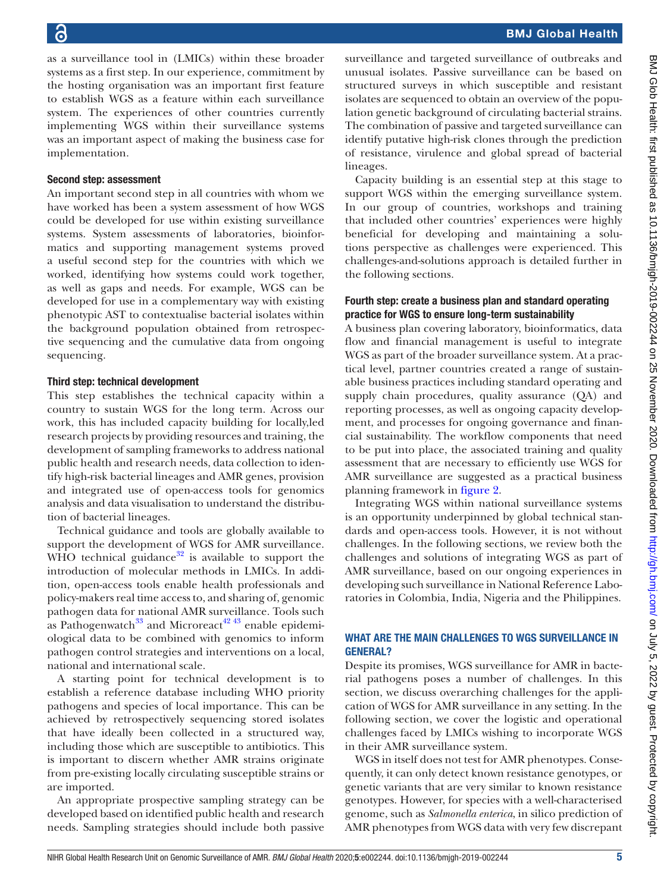as a surveillance tool in (LMICs) within these broader systems as a first step. In our experience, commitment by the hosting organisation was an important first feature to establish WGS as a feature within each surveillance system. The experiences of other countries currently implementing WGS within their surveillance systems was an important aspect of making the business case for implementation.

#### Second step: assessment

An important second step in all countries with whom we have worked has been a system assessment of how WGS could be developed for use within existing surveillance systems. System assessments of laboratories, bioinformatics and supporting management systems proved a useful second step for the countries with which we worked, identifying how systems could work together, as well as gaps and needs. For example, WGS can be developed for use in a complementary way with existing phenotypic AST to contextualise bacterial isolates within the background population obtained from retrospective sequencing and the cumulative data from ongoing sequencing.

#### Third step: technical development

This step establishes the technical capacity within a country to sustain WGS for the long term. Across our work, this has included capacity building for locally,led research projects by providing resources and training, the development of sampling frameworks to address national public health and research needs, data collection to identify high-risk bacterial lineages and AMR genes, provision and integrated use of open-access tools for genomics analysis and data visualisation to understand the distribution of bacterial lineages.

Technical guidance and tools are globally available to support the development of WGS for AMR surveillance. WHO technical guidance $32$  is available to support the introduction of molecular methods in LMICs. In addition, open-access tools enable health professionals and policy-makers real time access to, and sharing of, genomic pathogen data for national AMR surveillance. Tools such as Pathogenwatch $33$  and Microreact<sup>42 43</sup> enable epidemiological data to be combined with genomics to inform pathogen control strategies and interventions on a local, national and international scale.

A starting point for technical development is to establish a reference database including WHO priority pathogens and species of local importance. This can be achieved by retrospectively sequencing stored isolates that have ideally been collected in a structured way, including those which are susceptible to antibiotics. This is important to discern whether AMR strains originate from pre-existing locally circulating susceptible strains or are imported.

An appropriate prospective sampling strategy can be developed based on identified public health and research needs. Sampling strategies should include both passive

surveillance and targeted surveillance of outbreaks and unusual isolates. Passive surveillance can be based on structured surveys in which susceptible and resistant isolates are sequenced to obtain an overview of the population genetic background of circulating bacterial strains. The combination of passive and targeted surveillance can identify putative high-risk clones through the prediction of resistance, virulence and global spread of bacterial lineages.

Capacity building is an essential step at this stage to support WGS within the emerging surveillance system. In our group of countries, workshops and training that included other countries' experiences were highly beneficial for developing and maintaining a solutions perspective as challenges were experienced. This challenges-and-solutions approach is detailed further in the following sections.

#### Fourth step: create a business plan and standard operating practice for WGS to ensure long-term sustainability

A business plan covering laboratory, bioinformatics, data flow and financial management is useful to integrate WGS as part of the broader surveillance system. At a practical level, partner countries created a range of sustainable business practices including standard operating and supply chain procedures, quality assurance (QA) and reporting processes, as well as ongoing capacity development, and processes for ongoing governance and financial sustainability. The workflow components that need to be put into place, the associated training and quality assessment that are necessary to efficiently use WGS for AMR surveillance are suggested as a practical business planning framework in [figure](#page-5-0) 2.

Integrating WGS within national surveillance systems is an opportunity underpinned by global technical standards and open-access tools. However, it is not without challenges. In the following sections, we review both the challenges and solutions of integrating WGS as part of AMR surveillance, based on our ongoing experiences in developing such surveillance in National Reference Laboratories in Colombia, India, Nigeria and the Philippines.

#### WHAT ARE THE MAIN CHALLENGES TO WGS SURVEILLANCE IN general?

Despite its promises, WGS surveillance for AMR in bacterial pathogens poses a number of challenges. In this section, we discuss overarching challenges for the application of WGS for AMR surveillance in any setting. In the following section, we cover the logistic and operational challenges faced by LMICs wishing to incorporate WGS in their AMR surveillance system.

WGS in itself does not test for AMR phenotypes. Consequently, it can only detect known resistance genotypes, or genetic variants that are very similar to known resistance genotypes. However, for species with a well-characterised genome, such as *Salmonella enterica*, in silico prediction of AMR phenotypes from WGS data with very few discrepant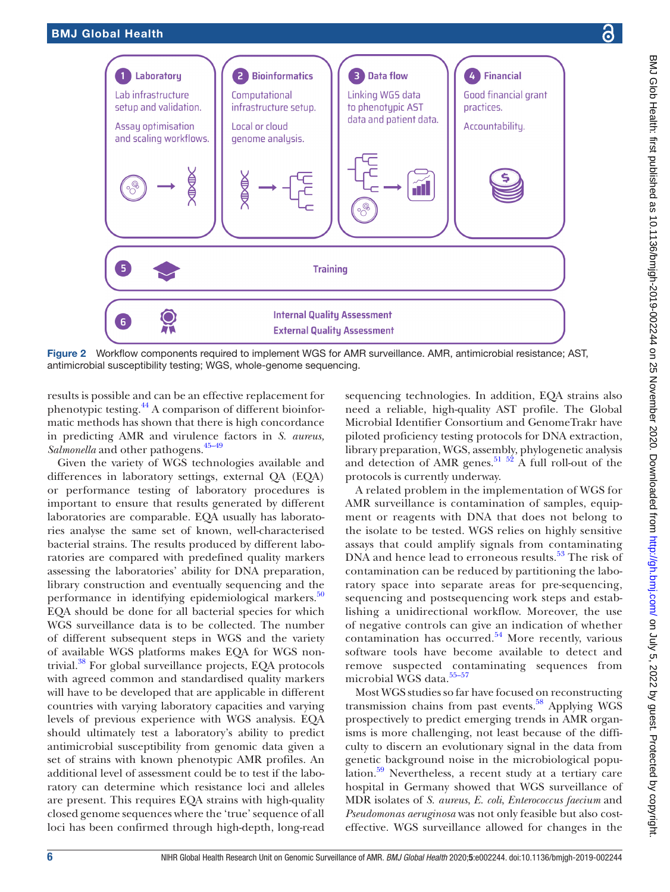

<span id="page-5-0"></span>Figure 2 Workflow components required to implement WGS for AMR surveillance. AMR, antimicrobial resistance; AST, antimicrobial susceptibility testing; WGS, whole-genome sequencing.

results is possible and can be an effective replacement for phenotypic testing[.44](#page-11-13) A comparison of different bioinformatic methods has shown that there is high concordance in predicting AMR and virulence factors in *S. aureus, Salmonella* and other pathogens.[45–49](#page-11-14)

Given the variety of WGS technologies available and differences in laboratory settings, external QA (EQA) or performance testing of laboratory procedures is important to ensure that results generated by different laboratories are comparable. EQA usually has laboratories analyse the same set of known, well-characterised bacterial strains. The results produced by different laboratories are compared with predefined quality markers assessing the laboratories' ability for DNA preparation, library construction and eventually sequencing and the performance in identifying epidemiological markers. $50$ EQA should be done for all bacterial species for which WGS surveillance data is to be collected. The number of different subsequent steps in WGS and the variety of available WGS platforms makes EQA for WGS nontrivial.[38](#page-11-16) For global surveillance projects, EQA protocols with agreed common and standardised quality markers will have to be developed that are applicable in different countries with varying laboratory capacities and varying levels of previous experience with WGS analysis. EQA should ultimately test a laboratory's ability to predict antimicrobial susceptibility from genomic data given a set of strains with known phenotypic AMR profiles. An additional level of assessment could be to test if the laboratory can determine which resistance loci and alleles are present. This requires EQA strains with high-quality closed genome sequences where the 'true' sequence of all loci has been confirmed through high-depth, long-read

sequencing technologies. In addition, EQA strains also need a reliable, high-quality AST profile. The Global Microbial Identifier Consortium and GenomeTrakr have piloted proficiency testing protocols for DNA extraction, library preparation, WGS, assembly, phylogenetic analysis and detection of AMR genes.<sup>[51](#page-11-17) 52</sup> A full roll-out of the protocols is currently underway.

A related problem in the implementation of WGS for AMR surveillance is contamination of samples, equipment or reagents with DNA that does not belong to the isolate to be tested. WGS relies on highly sensitive assays that could amplify signals from contaminating DNA and hence lead to erroneous results.<sup>[53](#page-11-19)</sup> The risk of contamination can be reduced by partitioning the laboratory space into separate areas for pre-sequencing, sequencing and postsequencing work steps and establishing a unidirectional workflow. Moreover, the use of negative controls can give an indication of whether  $contamination$  has occurred. $54$  More recently, various software tools have become available to detect and remove suspected contaminating sequences from microbial WGS data.<sup>55-57</sup>

Most WGS studies so far have focused on reconstructing transmission chains from past events. $58$  Applying WGS prospectively to predict emerging trends in AMR organisms is more challenging, not least because of the difficulty to discern an evolutionary signal in the data from genetic background noise in the microbiological population.[59](#page-11-23) Nevertheless, a recent study at a tertiary care hospital in Germany showed that WGS surveillance of MDR isolates of *S. aureus*, *E. coli*, *Enterococcus faecium* and *Pseudomonas aeruginosa* was not only feasible but also costeffective. WGS surveillance allowed for changes in the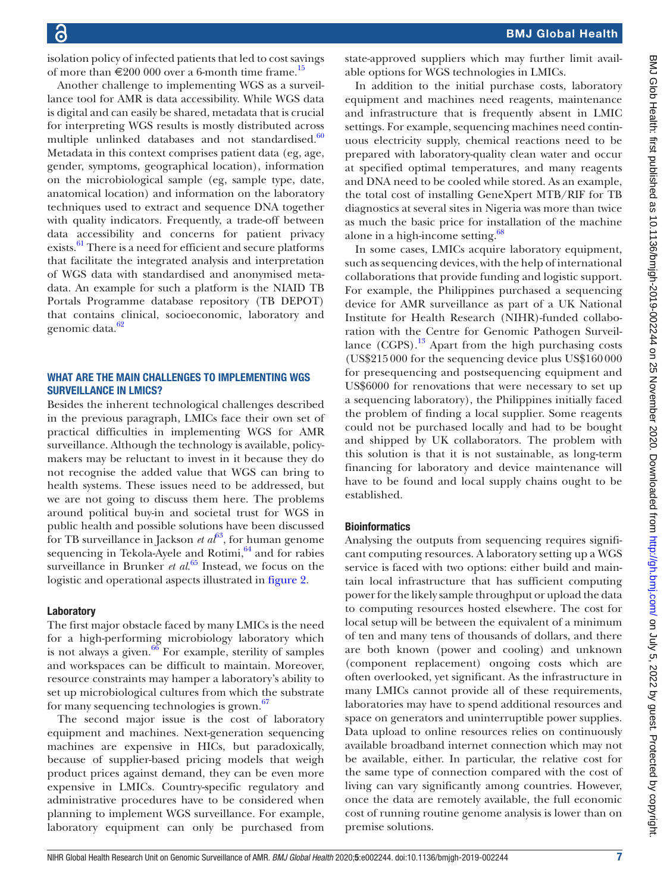isolation policy of infected patients that led to cost savings of more than  $\epsilon$ 200 000 over a 6-month time frame.<sup>15</sup>

Another challenge to implementing WGS as a surveillance tool for AMR is data accessibility. While WGS data is digital and can easily be shared, metadata that is crucial for interpreting WGS results is mostly distributed across multiple unlinked databases and not standardised. $60$ Metadata in this context comprises patient data (eg, age, gender, symptoms, geographical location), information on the microbiological sample (eg, sample type, date, anatomical location) and information on the laboratory techniques used to extract and sequence DNA together with quality indicators. Frequently, a trade-off between data accessibility and concerns for patient privacy exists. $61$  There is a need for efficient and secure platforms that facilitate the integrated analysis and interpretation of WGS data with standardised and anonymised metadata. An example for such a platform is the NIAID TB Portals Programme database repository (TB DEPOT) that contains clinical, socioeconomic, laboratory and genomic data.<sup>[62](#page-11-26)</sup>

#### What are the main challenges to implementing WGS surveillance in LMICs?

Besides the inherent technological challenges described in the previous paragraph, LMICs face their own set of practical difficulties in implementing WGS for AMR surveillance. Although the technology is available, policymakers may be reluctant to invest in it because they do not recognise the added value that WGS can bring to health systems. These issues need to be addressed, but we are not going to discuss them here. The problems around political buy-in and societal trust for WGS in public health and possible solutions have been discussed for TB surveillance in Jackson *et*  $a<sup>63</sup>$  $a<sup>63</sup>$  $a<sup>63</sup>$ , for human genome sequencing in Tekola-Ayele and Rotimi, $64$  and for rabies surveillance in Brunker *et al*. [65](#page-11-29) Instead, we focus on the logistic and operational aspects illustrated in [figure](#page-5-0) 2.

#### Laboratory

The first major obstacle faced by many LMICs is the need for a high-performing microbiology laboratory which is not always a given. $66$  For example, sterility of samples and workspaces can be difficult to maintain. Moreover, resource constraints may hamper a laboratory's ability to set up microbiological cultures from which the substrate for many sequencing technologies is grown.<sup>[67](#page-11-31)</sup>

The second major issue is the cost of laboratory equipment and machines. Next-generation sequencing machines are expensive in HICs, but paradoxically, because of supplier-based pricing models that weigh product prices against demand, they can be even more expensive in LMICs. Country-specific regulatory and administrative procedures have to be considered when planning to implement WGS surveillance. For example, laboratory equipment can only be purchased from

state-approved suppliers which may further limit available options for WGS technologies in LMICs.

In addition to the initial purchase costs, laboratory equipment and machines need reagents, maintenance and infrastructure that is frequently absent in LMIC settings. For example, sequencing machines need continuous electricity supply, chemical reactions need to be prepared with laboratory-quality clean water and occur at specified optimal temperatures, and many reagents and DNA need to be cooled while stored. As an example, the total cost of installing GeneXpert MTB/RIF for TB diagnostics at several sites in Nigeria was more than twice as much the basic price for installation of the machine alone in a high-income setting.<sup>[68](#page-11-32)</sup>

In some cases, LMICs acquire laboratory equipment, such as sequencing devices, with the help of international collaborations that provide funding and logistic support. For example, the Philippines purchased a sequencing device for AMR surveillance as part of a UK National Institute for Health Research (NIHR)-funded collaboration with the Centre for Genomic Pathogen Surveillance  $(CGPS)$ .<sup>[13](#page-10-19)</sup> Apart from the high purchasing costs (US\$215 000 for the sequencing device plus US\$160 000 for presequencing and postsequencing equipment and US\$6000 for renovations that were necessary to set up a sequencing laboratory), the Philippines initially faced the problem of finding a local supplier. Some reagents could not be purchased locally and had to be bought and shipped by UK collaborators. The problem with this solution is that it is not sustainable, as long-term financing for laboratory and device maintenance will have to be found and local supply chains ought to be established.

#### **Bioinformatics**

Analysing the outputs from sequencing requires significant computing resources. A laboratory setting up a WGS service is faced with two options: either build and maintain local infrastructure that has sufficient computing power for the likely sample throughput or upload the data to computing resources hosted elsewhere. The cost for local setup will be between the equivalent of a minimum of ten and many tens of thousands of dollars, and there are both known (power and cooling) and unknown (component replacement) ongoing costs which are often overlooked, yet significant. As the infrastructure in many LMICs cannot provide all of these requirements, laboratories may have to spend additional resources and space on generators and uninterruptible power supplies. Data upload to online resources relies on continuously available broadband internet connection which may not be available, either. In particular, the relative cost for the same type of connection compared with the cost of living can vary significantly among countries. However, once the data are remotely available, the full economic cost of running routine genome analysis is lower than on premise solutions.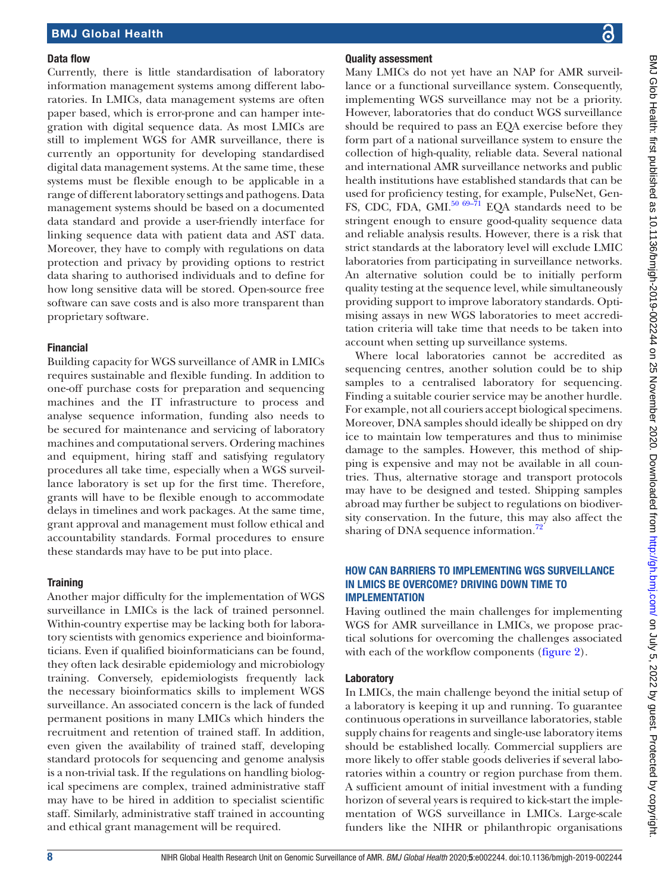#### Data flow

Currently, there is little standardisation of laboratory information management systems among different laboratories. In LMICs, data management systems are often paper based, which is error-prone and can hamper integration with digital sequence data. As most LMICs are still to implement WGS for AMR surveillance, there is currently an opportunity for developing standardised digital data management systems. At the same time, these systems must be flexible enough to be applicable in a range of different laboratory settings and pathogens. Data management systems should be based on a documented data standard and provide a user-friendly interface for linking sequence data with patient data and AST data. Moreover, they have to comply with regulations on data protection and privacy by providing options to restrict data sharing to authorised individuals and to define for how long sensitive data will be stored. Open-source free software can save costs and is also more transparent than proprietary software.

#### Financial

Building capacity for WGS surveillance of AMR in LMICs requires sustainable and flexible funding. In addition to one-off purchase costs for preparation and sequencing machines and the IT infrastructure to process and analyse sequence information, funding also needs to be secured for maintenance and servicing of laboratory machines and computational servers. Ordering machines and equipment, hiring staff and satisfying regulatory procedures all take time, especially when a WGS surveillance laboratory is set up for the first time. Therefore, grants will have to be flexible enough to accommodate delays in timelines and work packages. At the same time, grant approval and management must follow ethical and accountability standards. Formal procedures to ensure these standards may have to be put into place.

#### **Training**

Another major difficulty for the implementation of WGS surveillance in LMICs is the lack of trained personnel. Within-country expertise may be lacking both for laboratory scientists with genomics experience and bioinformaticians. Even if qualified bioinformaticians can be found, they often lack desirable epidemiology and microbiology training. Conversely, epidemiologists frequently lack the necessary bioinformatics skills to implement WGS surveillance. An associated concern is the lack of funded permanent positions in many LMICs which hinders the recruitment and retention of trained staff. In addition, even given the availability of trained staff, developing standard protocols for sequencing and genome analysis is a non-trivial task. If the regulations on handling biological specimens are complex, trained administrative staff may have to be hired in addition to specialist scientific staff. Similarly, administrative staff trained in accounting and ethical grant management will be required.

#### Quality assessment

Many LMICs do not yet have an NAP for AMR surveillance or a functional surveillance system. Consequently, implementing WGS surveillance may not be a priority. However, laboratories that do conduct WGS surveillance should be required to pass an EQA exercise before they form part of a national surveillance system to ensure the collection of high-quality, reliable data. Several national and international AMR surveillance networks and public health institutions have established standards that can be used for proficiency testing, for example, PulseNet, Gen-FS, CDC, FDA, GMI. $50\frac{69-71}{2}$  EQA standards need to be stringent enough to ensure good-quality sequence data and reliable analysis results. However, there is a risk that strict standards at the laboratory level will exclude LMIC laboratories from participating in surveillance networks. An alternative solution could be to initially perform quality testing at the sequence level, while simultaneously providing support to improve laboratory standards. Optimising assays in new WGS laboratories to meet accreditation criteria will take time that needs to be taken into account when setting up surveillance systems.

Where local laboratories cannot be accredited as sequencing centres, another solution could be to ship samples to a centralised laboratory for sequencing. Finding a suitable courier service may be another hurdle. For example, not all couriers accept biological specimens. Moreover, DNA samples should ideally be shipped on dry ice to maintain low temperatures and thus to minimise damage to the samples. However, this method of shipping is expensive and may not be available in all countries. Thus, alternative storage and transport protocols may have to be designed and tested. Shipping samples abroad may further be subject to regulations on biodiversity conservation. In the future, this may also affect the sharing of DNA sequence information. $72$ 

#### How can barriers to implementing WGS surveillance in LMICs be overcome? Driving down time to **IMPLEMENTATION**

Having outlined the main challenges for implementing WGS for AMR surveillance in LMICs, we propose practical solutions for overcoming the challenges associated with each of the workflow components [\(figure](#page-5-0) 2).

#### Laboratory

In LMICs, the main challenge beyond the initial setup of a laboratory is keeping it up and running. To guarantee continuous operations in surveillance laboratories, stable supply chains for reagents and single-use laboratory items should be established locally. Commercial suppliers are more likely to offer stable goods deliveries if several laboratories within a country or region purchase from them. A sufficient amount of initial investment with a funding horizon of several years is required to kick-start the implementation of WGS surveillance in LMICs. Large-scale funders like the NIHR or philanthropic organisations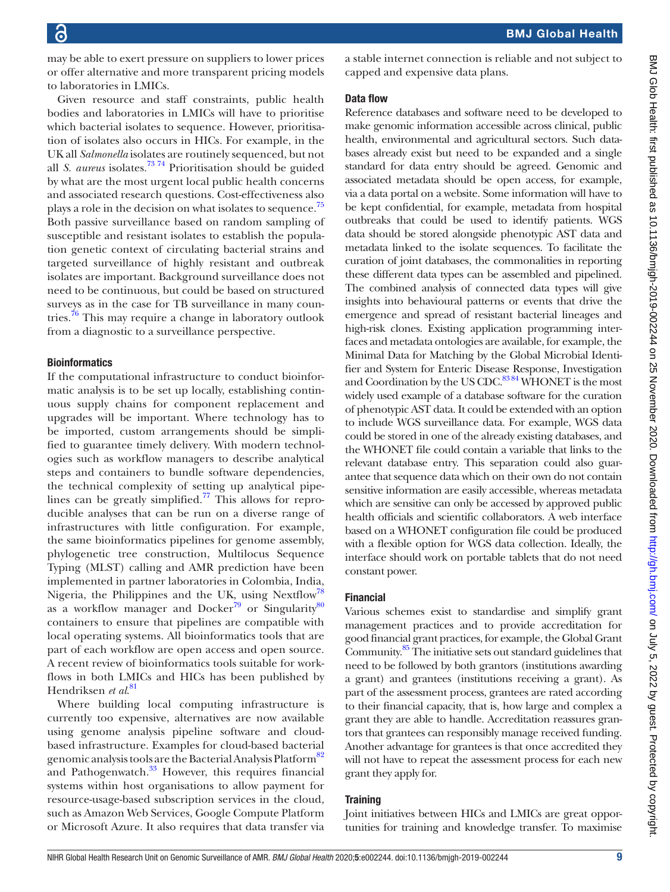may be able to exert pressure on suppliers to lower prices or offer alternative and more transparent pricing models to laboratories in LMICs.

Given resource and staff constraints, public health bodies and laboratories in LMICs will have to prioritise which bacterial isolates to sequence. However, prioritisation of isolates also occurs in HICs. For example, in the UK all *Salmonella* isolates are routinely sequenced, but not all *S. aureus* isolates.[73 74](#page-11-34) Prioritisation should be guided by what are the most urgent local public health concerns and associated research questions. Cost-effectiveness also plays a role in the decision on what isolates to sequence.<sup>75</sup> Both passive surveillance based on random sampling of susceptible and resistant isolates to establish the population genetic context of circulating bacterial strains and targeted surveillance of highly resistant and outbreak isolates are important. Background surveillance does not need to be continuous, but could be based on structured surveys as in the case for TB surveillance in many coun-tries.<sup>[76](#page-11-36)</sup> This may require a change in laboratory outlook from a diagnostic to a surveillance perspective.

#### **Bioinformatics**

If the computational infrastructure to conduct bioinformatic analysis is to be set up locally, establishing continuous supply chains for component replacement and upgrades will be important. Where technology has to be imported, custom arrangements should be simplified to guarantee timely delivery. With modern technologies such as workflow managers to describe analytical steps and containers to bundle software dependencies, the technical complexity of setting up analytical pipelines can be greatly simplified.<sup>77</sup> This allows for reproducible analyses that can be run on a diverse range of infrastructures with little configuration. For example, the same bioinformatics pipelines for genome assembly, phylogenetic tree construction, Multilocus Sequence Typing (MLST) calling and AMR prediction have been implemented in partner laboratories in Colombia, India, Nigeria, the Philippines and the UK, using Nextflow<sup>[78](#page-12-5)</sup> as a workflow manager and Docker<sup>79</sup> or Singularity<sup>80</sup> containers to ensure that pipelines are compatible with local operating systems. All bioinformatics tools that are part of each workflow are open access and open source. A recent review of bioinformatics tools suitable for workflows in both LMICs and HICs has been published by Hendriksen *et al*. [81](#page-12-8)

Where building local computing infrastructure is currently too expensive, alternatives are now available using genome analysis pipeline software and cloudbased infrastructure. Examples for cloud-based bacterial genomic analysis tools are the Bacterial Analysis Platform<sup>82</sup> and Pathogenwatch.<sup>33</sup> However, this requires financial systems within host organisations to allow payment for resource-usage-based subscription services in the cloud, such as Amazon Web Services, Google Compute Platform or Microsoft Azure. It also requires that data transfer via

a stable internet connection is reliable and not subject to capped and expensive data plans.

#### Data flow

Reference databases and software need to be developed to make genomic information accessible across clinical, public health, environmental and agricultural sectors. Such databases already exist but need to be expanded and a single standard for data entry should be agreed. Genomic and associated metadata should be open access, for example, via a data portal on a website. Some information will have to be kept confidential, for example, metadata from hospital outbreaks that could be used to identify patients. WGS data should be stored alongside phenotypic AST data and metadata linked to the isolate sequences. To facilitate the curation of joint databases, the commonalities in reporting these different data types can be assembled and pipelined. The combined analysis of connected data types will give insights into behavioural patterns or events that drive the emergence and spread of resistant bacterial lineages and high-risk clones. Existing application programming interfaces and metadata ontologies are available, for example, the Minimal Data for Matching by the Global Microbial Identifier and System for Enteric Disease Response, Investigation and Coordination by the US CDC.<sup>[83 84](#page-12-10)</sup> WHONET is the most widely used example of a database software for the curation of phenotypic AST data. It could be extended with an option to include WGS surveillance data. For example, WGS data could be stored in one of the already existing databases, and the WHONET file could contain a variable that links to the relevant database entry. This separation could also guarantee that sequence data which on their own do not contain sensitive information are easily accessible, whereas metadata which are sensitive can only be accessed by approved public health officials and scientific collaborators. A web interface based on a WHONET configuration file could be produced with a flexible option for WGS data collection. Ideally, the interface should work on portable tablets that do not need constant power.

#### Financial

Various schemes exist to standardise and simplify grant management practices and to provide accreditation for good financial grant practices, for example, the Global Grant Community.<sup>[85](#page-12-11)</sup> The initiative sets out standard guidelines that need to be followed by both grantors (institutions awarding a grant) and grantees (institutions receiving a grant). As part of the assessment process, grantees are rated according to their financial capacity, that is, how large and complex a grant they are able to handle. Accreditation reassures grantors that grantees can responsibly manage received funding. Another advantage for grantees is that once accredited they will not have to repeat the assessment process for each new grant they apply for.

#### **Training**

Joint initiatives between HICs and LMICs are great opportunities for training and knowledge transfer. To maximise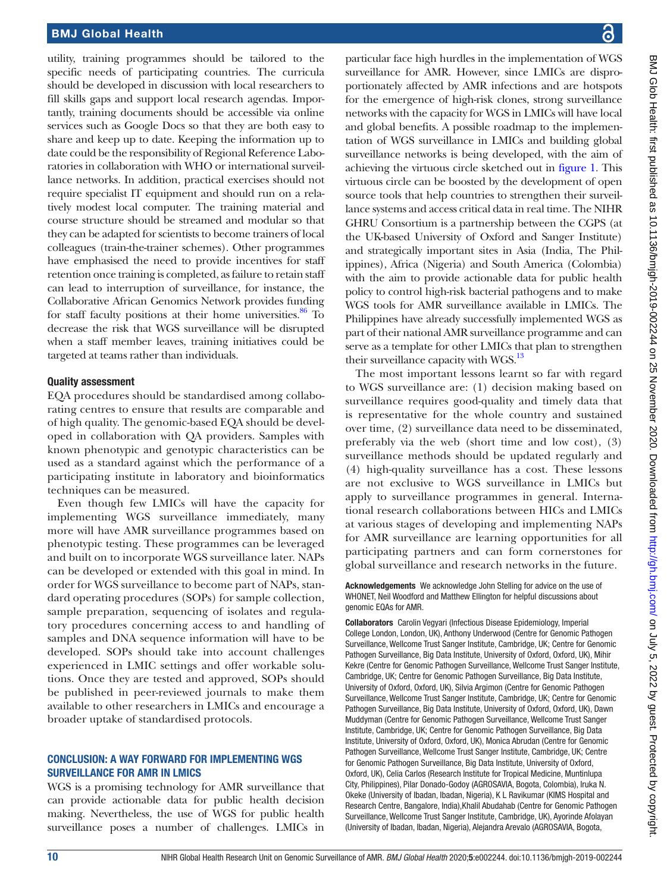utility, training programmes should be tailored to the specific needs of participating countries. The curricula should be developed in discussion with local researchers to fill skills gaps and support local research agendas. Importantly, training documents should be accessible via online services such as Google Docs so that they are both easy to share and keep up to date. Keeping the information up to date could be the responsibility of Regional Reference Laboratories in collaboration with WHO or international surveillance networks. In addition, practical exercises should not require specialist IT equipment and should run on a relatively modest local computer. The training material and course structure should be streamed and modular so that they can be adapted for scientists to become trainers of local colleagues (train-the-trainer schemes). Other programmes have emphasised the need to provide incentives for staff retention once training is completed, as failure to retain staff can lead to interruption of surveillance, for instance, the Collaborative African Genomics Network provides funding for staff faculty positions at their home universities. $86\degree$  To decrease the risk that WGS surveillance will be disrupted when a staff member leaves, training initiatives could be targeted at teams rather than individuals.

#### Quality assessment

EQA procedures should be standardised among collaborating centres to ensure that results are comparable and of high quality. The genomic-based EQA should be developed in collaboration with QA providers. Samples with known phenotypic and genotypic characteristics can be used as a standard against which the performance of a participating institute in laboratory and bioinformatics techniques can be measured.

Even though few LMICs will have the capacity for implementing WGS surveillance immediately, many more will have AMR surveillance programmes based on phenotypic testing. These programmes can be leveraged and built on to incorporate WGS surveillance later. NAPs can be developed or extended with this goal in mind. In order for WGS surveillance to become part of NAPs, standard operating procedures (SOPs) for sample collection, sample preparation, sequencing of isolates and regulatory procedures concerning access to and handling of samples and DNA sequence information will have to be developed. SOPs should take into account challenges experienced in LMIC settings and offer workable solutions. Once they are tested and approved, SOPs should be published in peer-reviewed journals to make them available to other researchers in LMICs and encourage a broader uptake of standardised protocols.

#### Conclusion: a way forward for implementing WGS surveillance for AMR in LMICs

WGS is a promising technology for AMR surveillance that can provide actionable data for public health decision making. Nevertheless, the use of WGS for public health surveillance poses a number of challenges. LMICs in

particular face high hurdles in the implementation of WGS surveillance for AMR. However, since LMICs are disproportionately affected by AMR infections and are hotspots for the emergence of high-risk clones, strong surveillance networks with the capacity for WGS in LMICs will have local and global benefits. A possible roadmap to the implementation of WGS surveillance in LMICs and building global surveillance networks is being developed, with the aim of achieving the virtuous circle sketched out in [figure](#page-3-0) 1. This virtuous circle can be boosted by the development of open source tools that help countries to strengthen their surveillance systems and access critical data in real time. The NIHR GHRU Consortium is a partnership between the CGPS (at the UK-based University of Oxford and Sanger Institute) and strategically important sites in Asia (India, The Philippines), Africa (Nigeria) and South America (Colombia) with the aim to provide actionable data for public health policy to control high-risk bacterial pathogens and to make WGS tools for AMR surveillance available in LMICs. The Philippines have already successfully implemented WGS as part of their national AMR surveillance programme and can serve as a template for other LMICs that plan to strengthen their surveillance capacity with WGS.<sup>13</sup>

The most important lessons learnt so far with regard to WGS surveillance are: (1) decision making based on surveillance requires good-quality and timely data that is representative for the whole country and sustained over time, (2) surveillance data need to be disseminated, preferably via the web (short time and low cost), (3) surveillance methods should be updated regularly and (4) high-quality surveillance has a cost. These lessons are not exclusive to WGS surveillance in LMICs but apply to surveillance programmes in general. International research collaborations between HICs and LMICs at various stages of developing and implementing NAPs for AMR surveillance are learning opportunities for all participating partners and can form cornerstones for global surveillance and research networks in the future.

Acknowledgements We acknowledge John Stelling for advice on the use of WHONET, Neil Woodford and Matthew Ellington for helpful discussions about genomic EQAs for AMR.

Collaborators Carolin Vegyari (Infectious Disease Epidemiology, Imperial College London, London, UK), Anthony Underwood (Centre for Genomic Pathogen Surveillance, Wellcome Trust Sanger Institute, Cambridge, UK; Centre for Genomic Pathogen Surveillance, Big Data Institute, University of Oxford, Oxford, UK), Mihir Kekre (Centre for Genomic Pathogen Surveillance, Wellcome Trust Sanger Institute, Cambridge, UK; Centre for Genomic Pathogen Surveillance, Big Data Institute, University of Oxford, Oxford, UK), Silvia Argimon (Centre for Genomic Pathogen Surveillance, Wellcome Trust Sanger Institute, Cambridge, UK; Centre for Genomic Pathogen Surveillance, Big Data Institute, University of Oxford, Oxford, UK), Dawn Muddyman (Centre for Genomic Pathogen Surveillance, Wellcome Trust Sanger Institute, Cambridge, UK; Centre for Genomic Pathogen Surveillance, Big Data Institute, University of Oxford, Oxford, UK), Monica Abrudan (Centre for Genomic Pathogen Surveillance, Wellcome Trust Sanger Institute, Cambridge, UK; Centre for Genomic Pathogen Surveillance, Big Data Institute, University of Oxford, Oxford, UK), Celia Carlos (Research Institute for Tropical Medicine, Muntinlupa City, Philippines), Pilar Donado-Godoy (AGROSAVIA, Bogota, Colombia), Iruka N. Okeke (University of Ibadan, Ibadan, Nigeria), K L Ravikumar (KIMS Hospital and Research Centre, Bangalore, India),Khalil Abudahab (Centre for Genomic Pathogen Surveillance, Wellcome Trust Sanger Institute, Cambridge, UK), Ayorinde Afolayan (University of Ibadan, Ibadan, Nigeria), Alejandra Arevalo (AGROSAVIA, Bogota,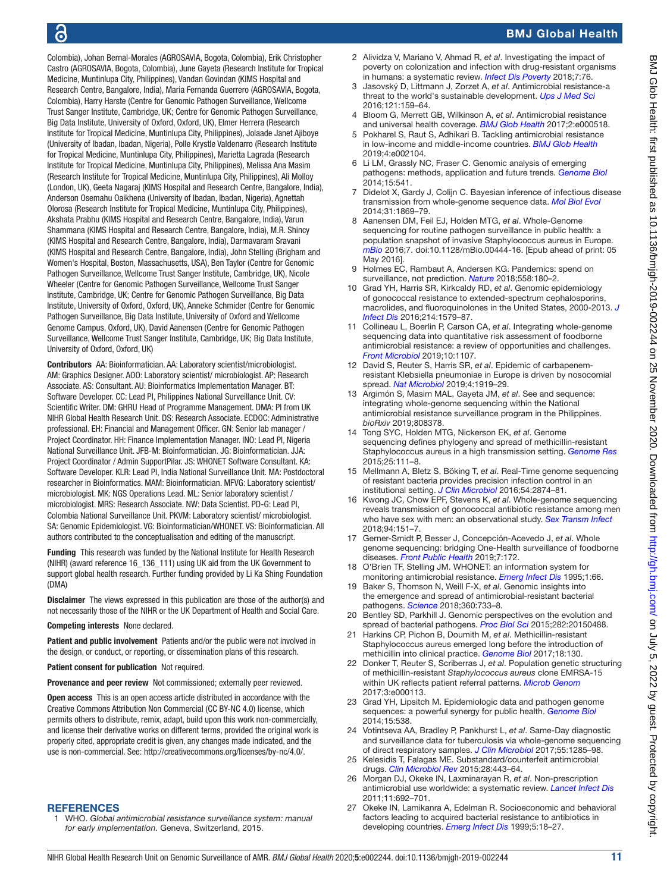# 6

### BMJ Global Health

Colombia), Johan Bernal-Morales (AGROSAVIA, Bogota, Colombia), Erik Christopher Castro (AGROSAVIA, Bogota, Colombia), June Gayeta (Research Institute for Tropical Medicine, Muntinlupa City, Philippines), Vandan Govindan (KIMS Hospital and Research Centre, Bangalore, India), Maria Fernanda Guerrero (AGROSAVIA, Bogota, Colombia), Harry Harste (Centre for Genomic Pathogen Surveillance, Wellcome Trust Sanger Institute, Cambridge, UK; Centre for Genomic Pathogen Surveillance, Big Data Institute, University of Oxford, Oxford, UK), Elmer Herrera (Research Institute for Tropical Medicine, Muntinlupa City, Philippines), Jolaade Janet Ajiboye (University of Ibadan, Ibadan, Nigeria), Polle Krystle Valdenarro (Research Institute for Tropical Medicine, Muntinlupa City, Philippines), Marietta Lagrada (Research Institute for Tropical Medicine, Muntinlupa City, Philippines), Melissa Ana Masim (Research Institute for Tropical Medicine, Muntinlupa City, Philippines), Ali Molloy (London, UK), Geeta Nagaraj (KIMS Hospital and Research Centre, Bangalore, India), Anderson Osemahu Oaikhena (University of Ibadan, Ibadan, Nigeria), Agnettah Olorosa (Research Institute for Tropical Medicine, Muntinlupa City, Philippines), Akshata Prabhu (KIMS Hospital and Research Centre, Bangalore, India), Varun Shammana (KIMS Hospital and Research Centre, Bangalore, India), M.R. Shincy (KIMS Hospital and Research Centre, Bangalore, India), Darmavaram Sravani (KIMS Hospital and Research Centre, Bangalore, India), John Stelling (Brigham and Women's Hospital, Boston, Massachusetts, USA), Ben Taylor (Centre for Genomic Pathogen Surveillance, Wellcome Trust Sanger Institute, Cambridge, UK), Nicole Wheeler (Centre for Genomic Pathogen Surveillance, Wellcome Trust Sanger Institute, Cambridge, UK; Centre for Genomic Pathogen Surveillance, Big Data Institute, University of Oxford, Oxford, UK), Anneke Schmider (Centre for Genomic Pathogen Surveillance, Big Data Institute, University of Oxford and Wellcome Genome Campus, Oxford, UK), David Aanensen (Centre for Genomic Pathogen Surveillance, Wellcome Trust Sanger Institute, Cambridge, UK; Big Data Institute, University of Oxford, Oxford, UK)

Contributors AA: Bioinformatician. AA: Laboratory scientist/microbiologist. AM: Graphics Designer. AOO: Laboratory scientist/ microbiologist. AP: Research Associate. AS: Consultant. AU: Bioinformatics Implementation Manager. BT: Software Developer. CC: Lead PI, Philippines National Surveillance Unit. CV: Scientific Writer. DM: GHRU Head of Programme Management. DMA: PI from UK NIHR Global Health Research Unit. DS: Research Associate. ECDOC: Administrative professional. EH: Financial and Management Officer. GN: Senior lab manager / Project Coordinator. HH: Finance Implementation Manager. INO: Lead PI, Nigeria National Surveillance Unit. JFB-M: Bioinformatician. JG: Bioinformatician. JJA: Project Coordinator / Admin SupportPilar. JS: WHONET Software Consultant. KA: Software Developer. KLR: Lead PI, India National Surveillance Unit. MA: Postdoctoral researcher in Bioinformatics. MAM: Bioinformatician. MFVG: Laboratory scientist/ microbiologist. MK: NGS Operations Lead. ML: Senior laboratory scientist / microbiologist. MRS: Research Associate. NW: Data Scientist. PD-G: Lead PI, Colombia National Surveillance Unit. PKVM: Laboratory scientist/ microbiologist. SA: Genomic Epidemiologist. VG: Bioinformatician/WHONET. VS: Bioinformatician. All authors contributed to the conceptualisation and editing of the manuscript.

Funding This research was funded by the National Institute for Health Research (NIHR) (award reference 16\_136\_111) using UK aid from the UK Government to support global health research. Further funding provided by Li Ka Shing Foundation (DMA)

Disclaimer The views expressed in this publication are those of the author(s) and not necessarily those of the NIHR or the UK Department of Health and Social Care.

Competing interests None declared.

Patient and public involvement Patients and/or the public were not involved in the design, or conduct, or reporting, or dissemination plans of this research.

Patient consent for publication Not required.

Provenance and peer review Not commissioned; externally peer reviewed.

Open access This is an open access article distributed in accordance with the Creative Commons Attribution Non Commercial (CC BY-NC 4.0) license, which permits others to distribute, remix, adapt, build upon this work non-commercially, and license their derivative works on different terms, provided the original work is properly cited, appropriate credit is given, any changes made indicated, and the use is non-commercial. See:<http://creativecommons.org/licenses/by-nc/4.0/>.

#### <span id="page-10-0"></span>**REFERENCES**

1 WHO. *Global antimicrobial resistance surveillance system: manual for early implementation*. Geneva, Switzerland, 2015.

- <span id="page-10-1"></span>2 Alividza V, Mariano V, Ahmad R, *et al*. Investigating the impact of poverty on colonization and infection with drug-resistant organisms in humans: a systematic review. *[Infect Dis Poverty](http://dx.doi.org/10.1186/s40249-018-0459-7)* 2018;7:76.
- <span id="page-10-2"></span>3 Jasovský D, Littmann J, Zorzet A, *et al*. Antimicrobial resistance-a threat to the world's sustainable development. *[Ups J Med Sci](http://dx.doi.org/10.1080/03009734.2016.1195900)* 2016;121:159–64.
- 4 Bloom G, Merrett GB, Wilkinson A, *et al*. Antimicrobial resistance and universal health coverage. *[BMJ Glob Health](http://dx.doi.org/10.1136/bmjgh-2017-000518)* 2017;2:e000518.
- <span id="page-10-3"></span>5 Pokharel S, Raut S, Adhikari B. Tackling antimicrobial resistance in low-income and middle-income countries. *[BMJ Glob Health](http://dx.doi.org/10.1136/bmjgh-2019-002104)* 2019;4:e002104.
- <span id="page-10-4"></span>6 Li LM, Grassly NC, Fraser C. Genomic analysis of emerging pathogens: methods, application and future trends. *[Genome Biol](http://dx.doi.org/10.1186/s13059-014-0541-9)* 2014;15:541.
- <span id="page-10-5"></span>7 Didelot X, Gardy J, Colijn C. Bayesian inference of infectious disease transmission from whole-genome sequence data. *[Mol Biol Evol](http://dx.doi.org/10.1093/molbev/msu121)* 2014;31:1869–79.
- <span id="page-10-6"></span>8 Aanensen DM, Feil EJ, Holden MTG, *et al*. Whole-Genome sequencing for routine pathogen surveillance in public health: a population snapshot of invasive Staphylococcus aureus in Europe. *[mBio](http://dx.doi.org/10.1128/mBio.00444-16)* 2016;7. doi:10.1128/mBio.00444-16. [Epub ahead of print: 05 May 2016].
- <span id="page-10-7"></span>9 Holmes EC, Rambaut A, Andersen KG. Pandemics: spend on surveillance, not prediction. *[Nature](http://dx.doi.org/10.1038/d41586-018-05373-w)* 2018;558:180–2.
- <span id="page-10-8"></span>10 Grad YH, Harris SR, Kirkcaldy RD, *et al*. Genomic epidemiology of gonococcal resistance to extended-spectrum cephalosporins, macrolides, and fluoroquinolones in the United States, 2000-2013. *[J](http://dx.doi.org/10.1093/infdis/jiw420)  [Infect Dis](http://dx.doi.org/10.1093/infdis/jiw420)* 2016;214:1579–87.
- <span id="page-10-9"></span>11 Collineau L, Boerlin P, Carson CA, *et al*. Integrating whole-genome sequencing data into quantitative risk assessment of foodborne antimicrobial resistance: a review of opportunities and challenges. *[Front Microbiol](http://dx.doi.org/10.3389/fmicb.2019.01107)* 2019;10:1107.
- 12 David S, Reuter S, Harris SR, *et al*. Epidemic of carbapenemresistant Klebsiella pneumoniae in Europe is driven by nosocomial spread. *[Nat Microbiol](http://dx.doi.org/10.1038/s41564-019-0492-8)* 2019;4:1919–29.
- <span id="page-10-19"></span>13 Argimón S, Masim MAL, Gayeta JM, *et al*. See and sequence: integrating whole-genome sequencing within the National antimicrobial resistance surveillance program in the Philippines. *bioRxiv* 2019;808378.
- 14 Tong SYC, Holden MTG, Nickerson EK, *et al*. Genome sequencing defines phylogeny and spread of methicillin-resistant Staphylococcus aureus in a high transmission setting. *[Genome Res](http://dx.doi.org/10.1101/gr.174730.114)* 2015;25:111–8.
- <span id="page-10-18"></span>15 Mellmann A, Bletz S, Böking T, *et al*. Real-Time genome sequencing of resistant bacteria provides precision infection control in an institutional setting. *[J Clin Microbiol](http://dx.doi.org/10.1128/JCM.00790-16)* 2016;54:2874–81.
- 16 Kwong JC, Chow EPF, Stevens K, *et al*. Whole-genome sequencing reveals transmission of gonococcal antibiotic resistance among men who have sex with men: an observational study. *[Sex Transm Infect](http://dx.doi.org/10.1136/sextrans-2017-053287)* 2018;94:151–7.
- 17 Gerner-Smidt P, Besser J, Concepción-Acevedo J, *et al*. Whole genome sequencing: bridging One-Health surveillance of foodborne diseases. *[Front Public Health](http://dx.doi.org/10.3389/fpubh.2019.00172)* 2019;7:172.
- <span id="page-10-10"></span>18 O'Brien TF, Stelling JM. WHONET: an information system for monitoring antimicrobial resistance. *[Emerg Infect Dis](http://dx.doi.org/10.3201/eid0102.950209)* 1995;1:66.
- <span id="page-10-11"></span>19 Baker S, Thomson N, Weill F-X, *et al*. Genomic insights into the emergence and spread of antimicrobial-resistant bacterial pathogens. *[Science](http://dx.doi.org/10.1126/science.aar3777)* 2018;360:733–8.
- <span id="page-10-12"></span>20 Bentley SD, Parkhill J. Genomic perspectives on the evolution and spread of bacterial pathogens. *[Proc Biol Sci](http://dx.doi.org/10.1098/rspb.2015.0488)* 2015;282:20150488.
- <span id="page-10-13"></span>21 Harkins CP, Pichon B, Doumith M, *et al*. Methicillin-resistant Staphylococcus aureus emerged long before the introduction of methicillin into clinical practice. *[Genome Biol](http://dx.doi.org/10.1186/s13059-017-1252-9)* 2017;18:130.
- <span id="page-10-14"></span>22 Donker T, Reuter S, Scriberras J, *et al*. Population genetic structuring of methicillin-resistant *Staphylococcus aureus* clone EMRSA-15 within UK reflects patient referral patterns. *[Microb Genom](http://dx.doi.org/10.1099/mgen.0.000113)* 2017;3:e000113.
- 23 Grad YH, Lipsitch M. Epidemiologic data and pathogen genome sequences: a powerful synergy for public health. *[Genome Biol](http://dx.doi.org/10.1186/s13059-014-0538-4)* 2014;15:538.
- <span id="page-10-15"></span>24 Votintseva AA, Bradley P, Pankhurst L, *et al*. Same-Day diagnostic and surveillance data for tuberculosis via whole-genome sequencing of direct respiratory samples. *[J Clin Microbiol](http://dx.doi.org/10.1128/JCM.02483-16)* 2017;55:1285–98.
- <span id="page-10-16"></span>25 Kelesidis T, Falagas ME. Substandard/counterfeit antimicrobial drugs. *[Clin Microbiol Rev](http://dx.doi.org/10.1128/CMR.00072-14)* 2015;28:443–64.
- <span id="page-10-17"></span>26 Morgan DJ, Okeke IN, Laxminarayan R, *et al*. Non-prescription antimicrobial use worldwide: a systematic review. *[Lancet Infect Dis](http://dx.doi.org/10.1016/S1473-3099(11)70054-8)* 2011;11:692–701.
- 27 Okeke IN, Lamikanra A, Edelman R. Socioeconomic and behavioral factors leading to acquired bacterial resistance to antibiotics in developing countries. *[Emerg Infect Dis](http://dx.doi.org/10.3201/eid0501.990103)* 1999;5:18–27.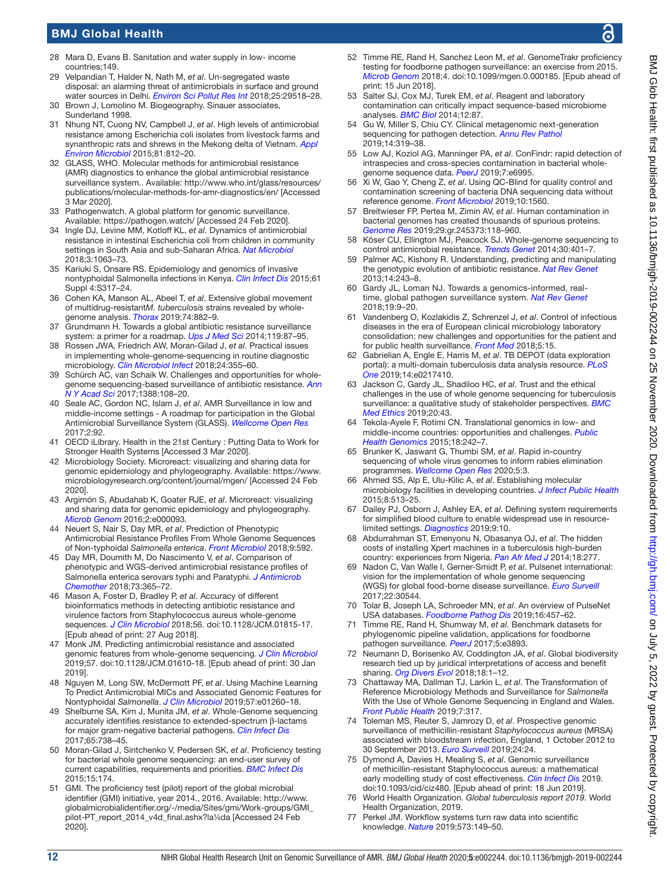- <span id="page-11-0"></span>28 Mara D, Evans B. Sanitation and water supply in low- income countries;149.
- <span id="page-11-1"></span>29 Velpandian T, Halder N, Nath M, *et al*. Un-segregated waste disposal: an alarming threat of antimicrobials in surface and ground water sources in Delhi. *[Environ Sci Pollut Res Int](http://dx.doi.org/10.1007/s11356-018-2927-9)* 2018;25:29518–28.
- <span id="page-11-2"></span>30 Brown J, Lomolino M. Biogeography. Sinauer associates, Sunderland 1998.
- <span id="page-11-3"></span>31 Nhung NT, Cuong NV, Campbell J, *et al*. High levels of antimicrobial resistance among Escherichia coli isolates from livestock farms and synanthropic rats and shrews in the Mekong delta of Vietnam. *[Appl](http://dx.doi.org/10.1128/AEM.03366-14)  [Environ Microbiol](http://dx.doi.org/10.1128/AEM.03366-14)* 2015;81:812–20.
- <span id="page-11-4"></span>32 GLASS, WHO. Molecular methods for antimicrobial resistance (AMR) diagnostics to enhance the global antimicrobial resistance surveillance system.. Available: [http://www.who.int/glass/resources/](http://www.who.int/glass/resources/publications/molecular-methods-for-amr-diagnostics/en/) [publications/molecular-methods-for-amr-diagnostics/en/](http://www.who.int/glass/resources/publications/molecular-methods-for-amr-diagnostics/en/) [Accessed 3 Mar 2020].
- <span id="page-11-5"></span>33 Pathogenwatch. A global platform for genomic surveillance. Available:<https://pathogen.watch/> [Accessed 24 Feb 2020].
- <span id="page-11-6"></span>34 Ingle DJ, Levine MM, Kotloff KL, *et al*. Dynamics of antimicrobial resistance in intestinal Escherichia coli from children in community settings in South Asia and sub-Saharan Africa. *[Nat Microbiol](http://dx.doi.org/10.1038/s41564-018-0217-4)* 2018;3:1063–73.
- <span id="page-11-7"></span>35 Kariuki S, Onsare RS. Epidemiology and genomics of invasive nontyphoidal Salmonella infections in Kenya. *[Clin Infect Dis](http://dx.doi.org/10.1093/cid/civ711)* 2015;61 Suppl 4:S317–24.
- <span id="page-11-8"></span>36 Cohen KA, Manson AL, Abeel T, *et al*. Extensive global movement of multidrug-resistant*M. tuberculosis* strains revealed by wholegenome analysis. *[Thorax](http://dx.doi.org/10.1136/thoraxjnl-2018-211616)* 2019;74:882–9.
- <span id="page-11-9"></span>37 Grundmann H. Towards a global antibiotic resistance surveillance system: a primer for a roadmap. *[Ups J Med Sci](http://dx.doi.org/10.3109/03009734.2014.904458)* 2014;119:87–95.
- <span id="page-11-16"></span>38 Rossen JWA, Friedrich AW, Moran-Gilad J, *et al*. Practical issues in implementing whole-genome-sequencing in routine diagnostic microbiology. *[Clin Microbiol Infect](http://dx.doi.org/10.1016/j.cmi.2017.11.001)* 2018;24:355–60.
- 39 Schürch AC, van Schaik W. Challenges and opportunities for wholegenome sequencing-based surveillance of antibiotic resistance. *[Ann](http://dx.doi.org/10.1111/nyas.13310)  [N Y Acad Sci](http://dx.doi.org/10.1111/nyas.13310)* 2017;1388:108–20.
- <span id="page-11-10"></span>40 Seale AC, Gordon NC, Islam J, *et al*. AMR Surveillance in low and middle-income settings - A roadmap for participation in the Global Antimicrobial Surveillance System (GLASS). *[Wellcome Open Res](http://dx.doi.org/10.12688/wellcomeopenres.12527.1)* 2017;2:92.
- <span id="page-11-11"></span>41 OECD iLibrary. Health in the 21st Century : Putting Data to Work for Stronger Health Systems [Accessed 3 Mar 2020].
- <span id="page-11-12"></span>42 Microbiology Society. Microreact: visualizing and sharing data for genomic epidemiology and phylogeography. Available: [https://www.](https://www.microbiologyresearch.org/content/journal/mgen/) [microbiologyresearch.org/content/journal/mgen/](https://www.microbiologyresearch.org/content/journal/mgen/) [Accessed 24 Feb 2020].
- 43 Argimón S, Abudahab K, Goater RJE, *et al*. Microreact: visualizing and sharing data for genomic epidemiology and phylogeography. *[Microb Genom](http://dx.doi.org/10.1099/mgen.0.000093)* 2016;2:e000093.
- <span id="page-11-13"></span>44 Neuert S, Nair S, Day MR, *et al*. Prediction of Phenotypic Antimicrobial Resistance Profiles From Whole Genome Sequences of Non-typhoidal *Salmonella enterica*. *[Front Microbiol](http://dx.doi.org/10.3389/fmicb.2018.00592)* 2018;9:592.
- <span id="page-11-14"></span>45 Day MR, Doumith M, Do Nascimento V, *et al*. Comparison of phenotypic and WGS-derived antimicrobial resistance profiles of Salmonella enterica serovars typhi and Paratyphi. *[J Antimicrob](http://dx.doi.org/10.1093/jac/dkx379)  [Chemother](http://dx.doi.org/10.1093/jac/dkx379)* 2018;73:365–72.
- 46 Mason A, Foster D, Bradley P, *et al*. Accuracy of different bioinformatics methods in detecting antibiotic resistance and virulence factors from Staphylococcus aureus whole-genome sequences. *[J Clin Microbiol](http://dx.doi.org/10.1128/JCM.01815-17)* 2018;56. doi:10.1128/JCM.01815-17. [Epub ahead of print: 27 Aug 2018].
- 47 Monk JM. Predicting antimicrobial resistance and associated genomic features from whole-genome sequencing. *[J Clin Microbiol](http://dx.doi.org/10.1128/JCM.01610-18)* 2019;57. doi:10.1128/JCM.01610-18. [Epub ahead of print: 30 Jan 2019].
- 48 Nguyen M, Long SW, McDermott PF, *et al*. Using Machine Learning To Predict Antimicrobial MICs and Associated Genomic Features for Nontyphoidal *Salmonella*. *[J Clin Microbiol](http://dx.doi.org/10.1128/JCM.01260-18)* 2019;57:e01260–18.
- 49 Shelburne SA, Kim J, Munita JM, *et al*. Whole-Genome sequencing accurately identifies resistance to extended-spectrum β-lactams for major gram-negative bacterial pathogens. *[Clin Infect Dis](http://dx.doi.org/10.1093/cid/cix417)* 2017;65:738–45.
- <span id="page-11-15"></span>50 Moran-Gilad J, Sintchenko V, Pedersen SK, *et al*. Proficiency testing for bacterial whole genome sequencing: an end-user survey of current capabilities, requirements and priorities. *[BMC Infect Dis](http://dx.doi.org/10.1186/s12879-015-0902-3)* 2015;15:174.
- <span id="page-11-17"></span>51 GMI. The proficiency test (pilot) report of the global microbial identifier (GMI) initiative, year 2014., 2016. Available: [http://www.](http://www.globalmicrobialidentifier.org/-/media/Sites/gmi/Work-groups/GMI_pilot-PT_report_2014_v4d_final.ashx?la%C2%BCda) [globalmicrobialidentifier.org/-/media/Sites/gmi/Work-groups/GMI\\_](http://www.globalmicrobialidentifier.org/-/media/Sites/gmi/Work-groups/GMI_pilot-PT_report_2014_v4d_final.ashx?la%C2%BCda) [pilot-PT\\_report\\_2014\\_v4d\\_final.ashx?la¼da](http://www.globalmicrobialidentifier.org/-/media/Sites/gmi/Work-groups/GMI_pilot-PT_report_2014_v4d_final.ashx?la%C2%BCda) [Accessed 24 Feb 2020].
- <span id="page-11-18"></span>52 Timme RE, Rand H, Sanchez Leon M, *et al*. GenomeTrakr proficiency testing for foodborne pathogen surveillance: an exercise from 2015. *[Microb Genom](http://dx.doi.org/10.1099/mgen.0.000185)* 2018;4. doi:10.1099/mgen.0.000185. [Epub ahead of print: 15 Jun 2018].
- <span id="page-11-19"></span>53 Salter SJ, Cox MJ, Turek EM, *et al*. Reagent and laboratory contamination can critically impact sequence-based microbiome analyses. *[BMC Biol](http://dx.doi.org/10.1186/s12915-014-0087-z)* 2014;12:87.
- <span id="page-11-20"></span>54 Gu W, Miller S, Chiu CY. Clinical metagenomic next-generation sequencing for pathogen detection. *[Annu Rev Pathol](http://dx.doi.org/10.1146/annurev-pathmechdis-012418-012751)* 2019;14:319–38.
- <span id="page-11-21"></span>55 Low AJ, Koziol AG, Manninger PA, *et al*. ConFindr: rapid detection of intraspecies and cross-species contamination in bacterial wholegenome sequence data. *[PeerJ](http://dx.doi.org/10.7717/peerj.6995)* 2019;7:e6995.
- 56 Xi W, Gao Y, Cheng Z, *et al*. Using QC-Blind for quality control and contamination screening of bacteria DNA sequencing data without reference genome. *[Front Microbiol](http://dx.doi.org/10.3389/fmicb.2019.01560)* 2019;10:1560.
- 57 Breitwieser FP, Pertea M, Zimin AV, *et al*. Human contamination in bacterial genomes has created thousands of spurious proteins. *[Genome Res](http://dx.doi.org/10.1101/gr.245373.118)* 2019;29:gr.245373:118–960.
- <span id="page-11-22"></span>58 Köser CU, Ellington MJ, Peacock SJ. Whole-genome sequencing to control antimicrobial resistance. *[Trends Genet](http://dx.doi.org/10.1016/j.tig.2014.07.003)* 2014;30:401–7.
- <span id="page-11-23"></span>59 Palmer AC, Kishony R. Understanding, predicting and manipulating the genotypic evolution of antibiotic resistance. *[Nat Rev Genet](http://dx.doi.org/10.1038/nrg3351)* 2013;14:243–8.
- <span id="page-11-24"></span>60 Gardy JL, Loman NJ. Towards a genomics-informed, realtime, global pathogen surveillance system. *[Nat Rev Genet](http://dx.doi.org/10.1038/nrg.2017.88)* 2018;19:9–20.
- <span id="page-11-25"></span>61 Vandenberg O, Kozlakidis Z, Schrenzel J, *et al*. Control of infectious diseases in the era of European clinical microbiology laboratory consolidation: new challenges and opportunities for the patient and for public health surveillance. *[Front Med](http://dx.doi.org/10.3389/fmed.2018.00015)* 2018;5:15.
- <span id="page-11-26"></span>62 Gabrielian A, Engle E, Harris M, *et al*. TB DEPOT (data exploration portal): a multi-domain tuberculosis data analysis resource. *[PLoS](http://dx.doi.org/10.1371/journal.pone.0217410)  [One](http://dx.doi.org/10.1371/journal.pone.0217410)* 2019;14:e0217410.
- <span id="page-11-27"></span>63 Jackson C, Gardy JL, Shadiloo HC, *et al*. Trust and the ethical challenges in the use of whole genome sequencing for tuberculosis surveillance: a qualitative study of stakeholder perspectives. *[BMC](http://dx.doi.org/10.1186/s12910-019-0380-z)  [Med Ethics](http://dx.doi.org/10.1186/s12910-019-0380-z)* 2019;20:43.
- <span id="page-11-28"></span>64 Tekola-Ayele F, Rotimi CN. Translational genomics in low- and middle-income countries: opportunities and challenges. *[Public](http://dx.doi.org/10.1159/000433518)  [Health Genomics](http://dx.doi.org/10.1159/000433518)* 2015;18:242–7.
- <span id="page-11-29"></span>65 Brunker K, Jaswant G, Thumbi SM, *et al*. Rapid in-country sequencing of whole virus genomes to inform rabies elimination programmes. *[Wellcome Open Res](http://dx.doi.org/10.12688/wellcomeopenres.15518.1)* 2020;5:3.
- <span id="page-11-30"></span>66 Ahmed SS, Alp E, Ulu-Kilic A, *et al*. Establishing molecular microbiology facilities in developing countries. *[J Infect Public Health](http://dx.doi.org/10.1016/j.jiph.2015.04.029)* 2015;8:513–25.
- <span id="page-11-31"></span>67 Dailey PJ, Osborn J, Ashley EA, *et al*. Defining system requirements for simplified blood culture to enable widespread use in resourcelimited settings. *[Diagnostics](http://dx.doi.org/10.3390/diagnostics9010010)* 2019;9:10.
- <span id="page-11-32"></span>68 Abdurrahman ST, Emenyonu N, Obasanya OJ, *et al*. The hidden costs of installing Xpert machines in a tuberculosis high-burden country: experiences from Nigeria. *[Pan Afr Med J](http://dx.doi.org/10.11604/pamj.2014.18.277.3906)* 2014;18:277.
- 69 Nadon C, Van Walle I, Gerner-Smidt P, *et al*. Pulsenet international: vision for the implementation of whole genome sequencing (WGS) for global food-borne disease surveillance. *[Euro Surveill](http://dx.doi.org/10.2807/1560-7917.ES.2017.22.23.30544)* 2017;22:30544.
- 70 Tolar B, Joseph LA, Schroeder MN, *et al*. An overview of PulseNet USA databases. *[Foodborne Pathog Dis](http://dx.doi.org/10.1089/fpd.2019.2637)* 2019;16:457–62.
- 71 Timme RE, Rand H, Shumway M, *et al*. Benchmark datasets for phylogenomic pipeline validation, applications for foodborne pathogen surveillance. *[PeerJ](http://dx.doi.org/10.7717/peerj.3893)* 2017;5:e3893.
- <span id="page-11-33"></span>72 Neumann D, Borisenko AV, Coddington JA, *et al*. Global biodiversity research tied up by juridical interpretations of access and benefit sharing. *[Org Divers Evol](http://dx.doi.org/10.1007/s13127-017-0347-1)* 2018;18:1–12.
- <span id="page-11-34"></span>73 Chattaway MA, Dallman TJ, Larkin L, *et al*. The Transformation of Reference Microbiology Methods and Surveillance for *Salmonella* With the Use of Whole Genome Sequencing in England and Wales. *[Front Public Health](http://dx.doi.org/10.3389/fpubh.2019.00317)* 2019;7:317.
- 74 Toleman MS, Reuter S, Jamrozy D, *et al*. Prospective genomic surveillance of methicillin-resistant *Staphylococcus aureus* (MRSA) associated with bloodstream infection, England, 1 October 2012 to 30 September 2013. *[Euro Surveill](http://dx.doi.org/10.2807/1560-7917.ES.2019.24.4.1800215)* 2019;24:24.
- <span id="page-11-35"></span>75 Dymond A, Davies H, Mealing S, *et al*. Genomic surveillance of methicillin-resistant Staphylococcus aureus: a mathematical early modelling study of cost effectiveness. *[Clin Infect Dis](http://dx.doi.org/10.1093/cid/ciz480)* 2019. doi:10.1093/cid/ciz480. [Epub ahead of print: 18 Jun 2019].
- <span id="page-11-36"></span>76 World Health Organization. *Global tuberculosis report 2019*. World Health Organization, 2019.
- <span id="page-11-37"></span>77 Perkel JM. Workflow systems turn raw data into scientific knowledge. *[Nature](http://dx.doi.org/10.1038/d41586-019-02619-z)* 2019;573:149–50.